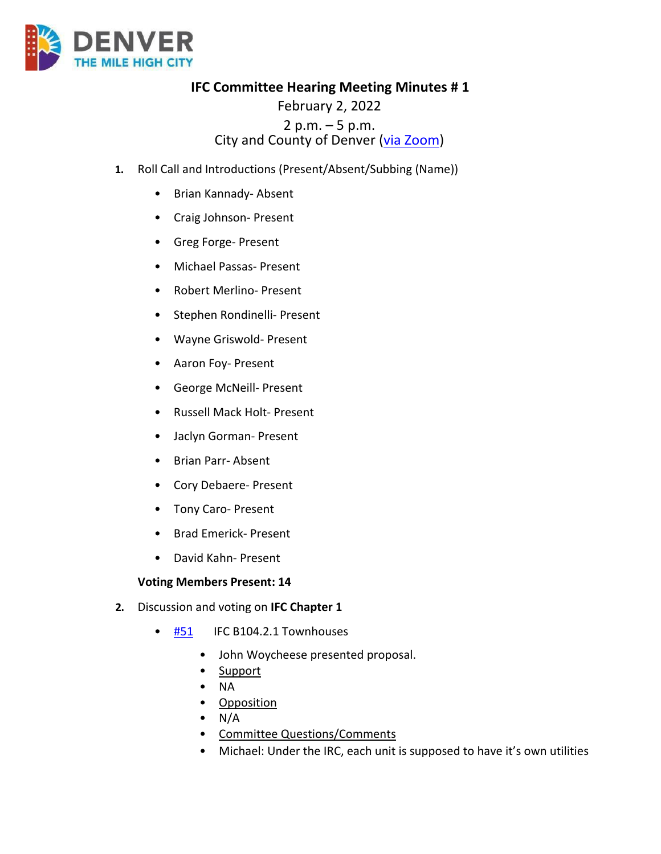

**IFC Committee Hearing Meeting Minutes # 1**

## February 2, 2022 2 p.m.  $-5$  p.m.<br>City and County of Denver ( $via Zoom$ )</u>

- **1.** Roll Call and Introductions (Present/Absent/Subbing (Name))
	- Brian Kannady- Absent
	- Craig Johnson- Present
	- Greg Forge- Present
	- Michael Passas- Present
	- Robert Merlino- Present
	- Stephen Rondinelli- Present
	- Wayne Griswold- Present
	- Aaron Foy- Present
	- George McNeill- Present
	- Russell Mack Holt- Present
	- Jaclyn Gorman- Present
	- Brian Parr- Absent
	- Cory Debaere- Present
	- Tony Caro- Present
	- Brad Emerick- Present
	- David Kahn- Present

## **Voting Members Present: 14**

- **2.** Discussion and voting on **IFC Chapter 1**
	- [#51](https://www.denvergov.org/files/assets/public/community-planning-and-development/documents/ds/building-codes/code-adoption/amendment-proposals/ifc/ifc_104.2.1.pdf) IFC B104.2.1 Townhouses
		- John Woycheese presented proposal.
		- Support
		- NA
		- Opposition
		- $\bullet$  N/A
		- Committee Questions/Comments
		- Michael: Under the IRC, each unit is supposed to have it's own utilities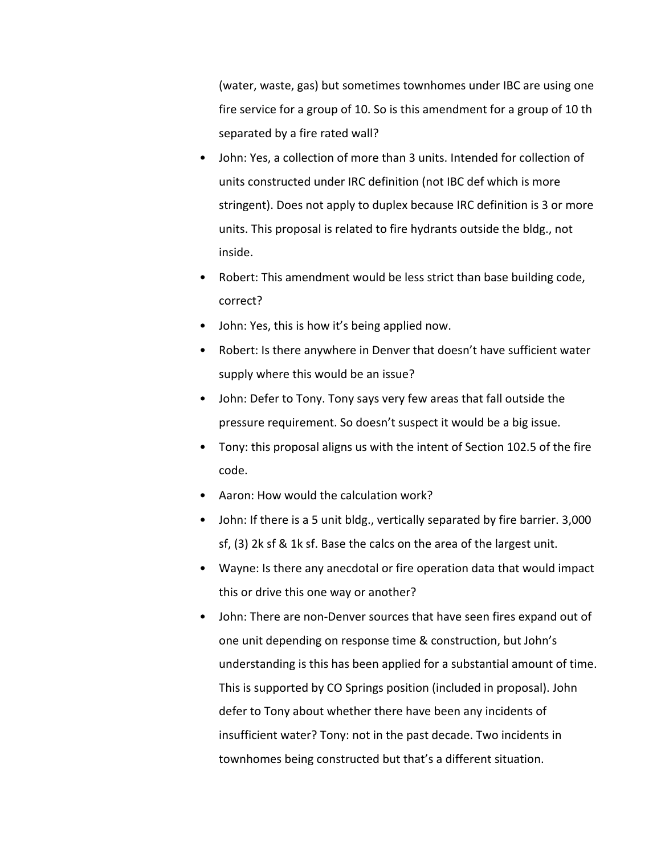(water, waste, gas) but sometimes townhomes under IBC are using one fire service for a group of 10. So is this amendment for a group of 10 th separated by a fire rated wall?

- John: Yes, a collection of more than 3 units. Intended for collection of units constructed under IRC definition (not IBC def which is more stringent). Does not apply to duplex because IRC definition is 3 or more units. This proposal is related to fire hydrants outside the bldg., not inside.
- Robert: This amendment would be less strict than base building code, correct?
- John: Yes, this is how it's being applied now.
- Robert: Is there anywhere in Denver that doesn't have sufficient water supply where this would be an issue?
- John: Defer to Tony. Tony says very few areas that fall outside the pressure requirement. So doesn't suspect it would be a big issue.
- Tony: this proposal aligns us with the intent of Section 102.5 of the fire code.
- Aaron: How would the calculation work?
- John: If there is a 5 unit bldg., vertically separated by fire barrier. 3,000 sf, (3) 2k sf & 1k sf. Base the calcs on the area of the largest unit.
- Wayne: Is there any anecdotal or fire operation data that would impact this or drive this one way or another?
- John: There are non-Denver sources that have seen fires expand out of one unit depending on response time & construction, but John's understanding is this has been applied for a substantial amount of time. This is supported by CO Springs position (included in proposal). John defer to Tony about whether there have been any incidents of insufficient water? Tony: not in the past decade. Two incidents in townhomes being constructed but that's a different situation.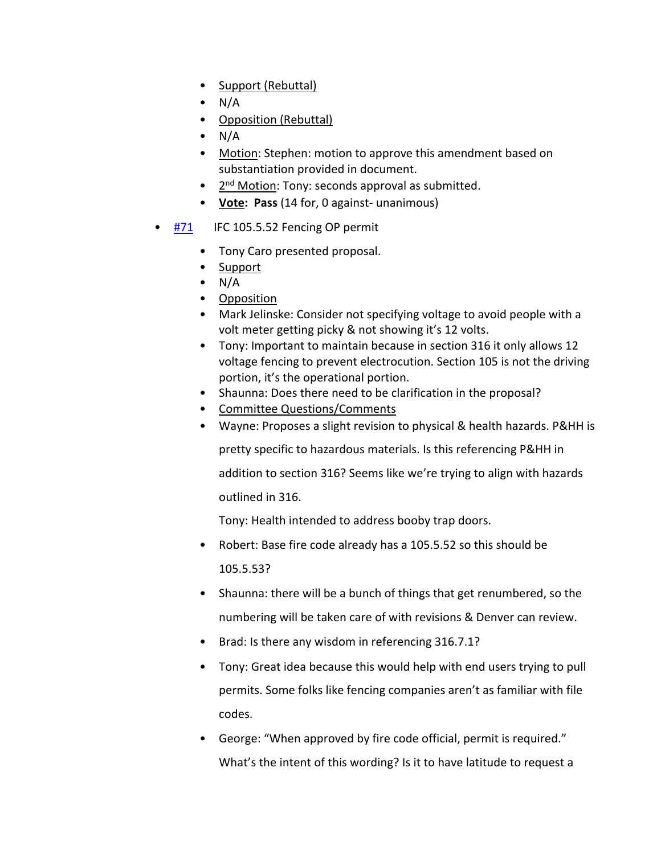- Support (Rebuttal)
- N/A
- Opposition (Rebuttal)
- N/A
- Motion: Stephen: motion to approve this amendment based on substantiation provided in document.
- 2<sup>nd</sup> Motion: Tony: seconds approval as submitted.
- **Vote: Pass** (14 for, 0 against- unanimous)
- [#71](https://www.denvergov.org/files/assets/public/community-planning-and-development/documents/ds/building-codes/code-adoption/amendment-proposals/ifc/ifc_105.5.52.pdf) IFC 105.5.52 Fencing OP permit
	- Tony Caro presented proposal.
	- Support
	- $\bullet$  N/A
	- Opposition
	- Mark Jelinske: Consider not specifying voltage to avoid people with a volt meter getting picky & not showing it's 12 volts.
	- Tony: Important to maintain because in section 316 it only allows 12 voltage fencing to prevent electrocution. Section 105 is not the driving portion, it's the operational portion.
	- Shaunna: Does there need to be clarification in the proposal?
	- Committee Questions/Comments
	- Wayne: Proposes a slight revision to physical & health hazards. P&HH is

pretty specific to hazardous materials. Is this referencing P&HH in

addition to section 316? Seems like we're trying to align with hazards

outlined in 316.

Tony: Health intended to address booby trap doors.

- Robert: Base fire code already has a 105.5.52 so this should be 105.5.53?
- Shaunna: there will be a bunch of things that get renumbered, so the numbering will be taken care of with revisions & Denver can review.
- Brad: Is there any wisdom in referencing 316.7.1?
- Tony: Great idea because this would help with end users trying to pull permits. Some folks like fencing companies aren't as familiar with file codes.
- George: "When approved by fire code official, permit is required." What's the intent of this wording? Is it to have latitude to request a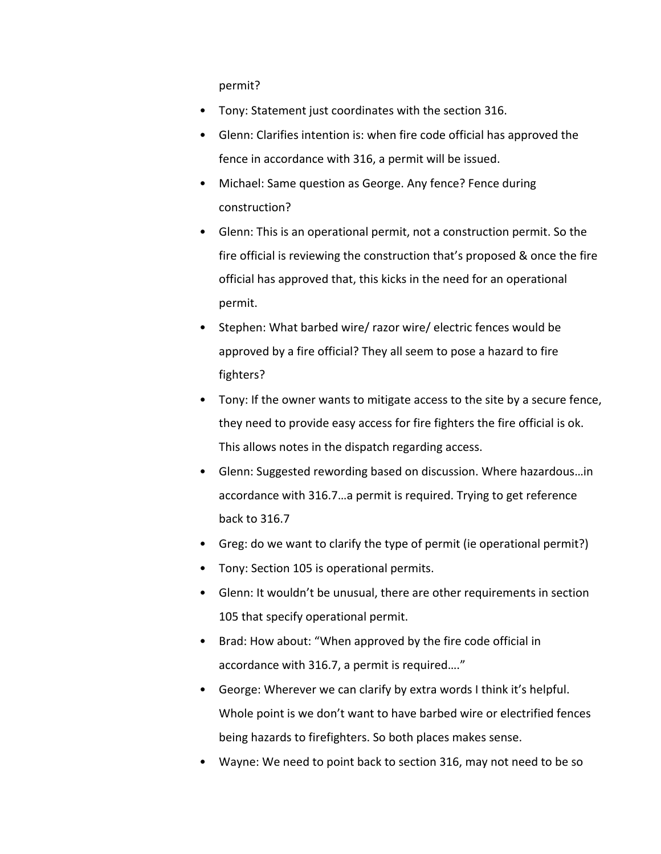permit?

- Tony: Statement just coordinates with the section 316.
- Glenn: Clarifies intention is: when fire code official has approved the fence in accordance with 316, a permit will be issued.
- Michael: Same question as George. Any fence? Fence during construction?
- Glenn: This is an operational permit, not a construction permit. So the fire official is reviewing the construction that's proposed & once the fire official has approved that, this kicks in the need for an operational permit.
- Stephen: What barbed wire/ razor wire/ electric fences would be approved by a fire official? They all seem to pose a hazard to fire fighters?
- Tony: If the owner wants to mitigate access to the site by a secure fence, they need to provide easy access for fire fighters the fire official is ok. This allows notes in the dispatch regarding access.
- Glenn: Suggested rewording based on discussion. Where hazardous…in accordance with 316.7…a permit is required. Trying to get reference back to 316.7
- Greg: do we want to clarify the type of permit (ie operational permit?)
- Tony: Section 105 is operational permits.
- Glenn: It wouldn't be unusual, there are other requirements in section 105 that specify operational permit.
- Brad: How about: "When approved by the fire code official in accordance with 316.7, a permit is required…."
- George: Wherever we can clarify by extra words I think it's helpful. Whole point is we don't want to have barbed wire or electrified fences being hazards to firefighters. So both places makes sense.
- Wayne: We need to point back to section 316, may not need to be so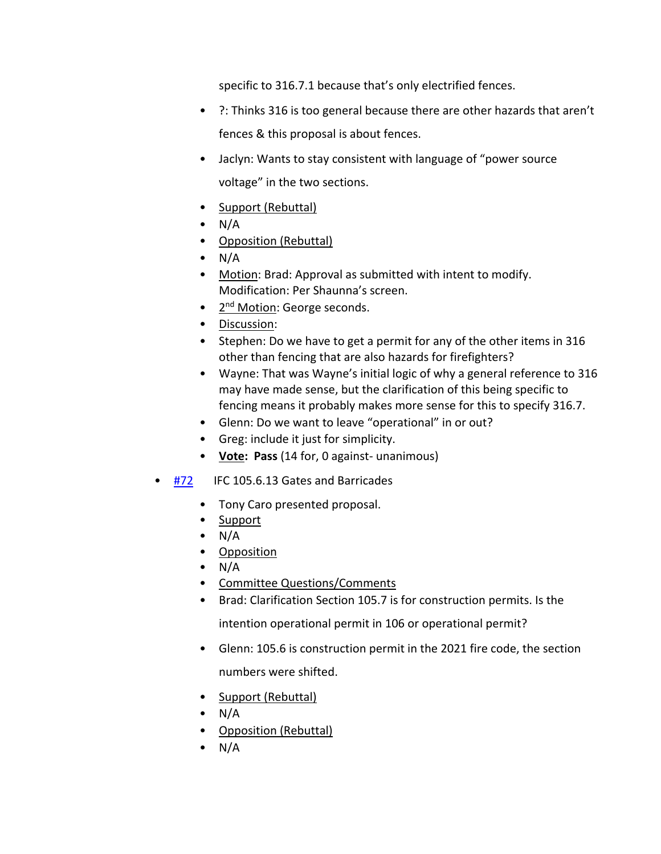specific to 316.7.1 because that's only electrified fences.

- ?: Thinks 316 is too general because there are other hazards that aren't fences & this proposal is about fences.
- Jaclyn: Wants to stay consistent with language of "power source voltage" in the two sections.
- Support (Rebuttal)
- $\bullet$  N/A
- Opposition (Rebuttal)
- $\bullet$  N/A
- Motion: Brad: Approval as submitted with intent to modify. Modification: Per Shaunna's screen.
- 2<sup>nd</sup> Motion: George seconds.
- Discussion:
- Stephen: Do we have to get a permit for any of the other items in 316 other than fencing that are also hazards for firefighters?
- Wayne: That was Wayne's initial logic of why a general reference to 316 may have made sense, but the clarification of this being specific to fencing means it probably makes more sense for this to specify 316.7.
- Glenn: Do we want to leave "operational" in or out?
- Greg: include it just for simplicity.
- **Vote: Pass** (14 for, 0 against- unanimous)
- [#72](https://www.denvergov.org/files/assets/public/community-planning-and-development/documents/ds/building-codes/code-adoption/amendment-proposals/ifc/ifc_105.6.13.pdf) IFC 105.6.13 Gates and Barricades
	- Tony Caro presented proposal.
	- Support
	- $\bullet$  N/A
	- Opposition
	- $\bullet$  N/A
	- Committee Questions/Comments
	- Brad: Clarification Section 105.7 is for construction permits. Is the

intention operational permit in 106 or operational permit?

- Glenn: 105.6 is construction permit in the 2021 fire code, the section numbers were shifted.
- Support (Rebuttal)
- $\bullet$  N/A
- Opposition (Rebuttal)
- $\bullet$  N/A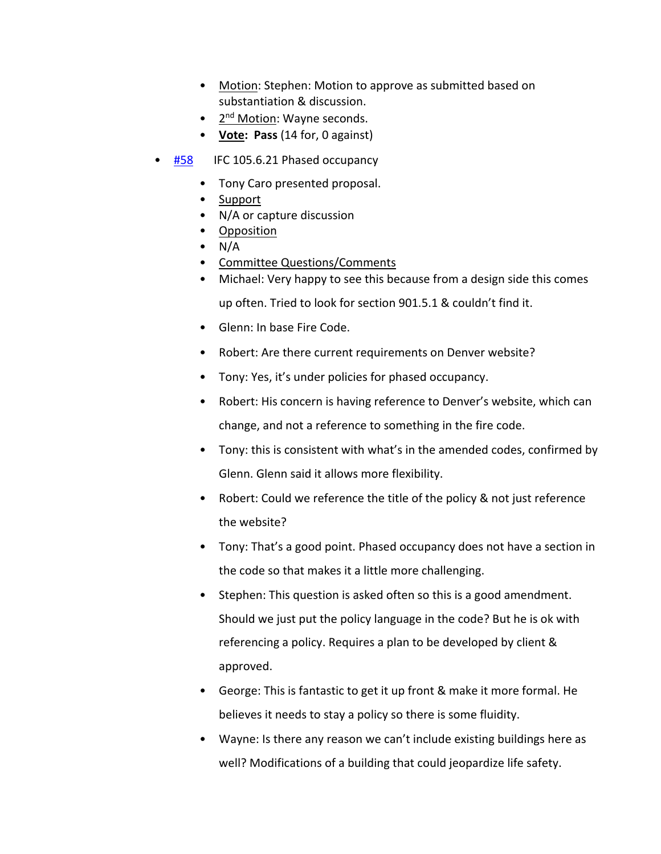- Motion: Stephen: Motion to approve as submitted based on substantiation & discussion.
- 2<sup>nd</sup> Motion: Wayne seconds.
- **Vote: Pass** (14 for, 0 against)
- [#58](https://www.denvergov.org/files/assets/public/community-planning-and-development/documents/ds/building-codes/code-adoption/amendment-proposals/ifc/ifc_105.6.21.pdf) IFC 105.6.21 Phased occupancy
	- Tony Caro presented proposal.
	- Support
	- N/A or capture discussion
	- Opposition
	- $\bullet$  N/A
	- Committee Questions/Comments
	- Michael: Very happy to see this because from a design side this comes up often. Tried to look for section 901.5.1 & couldn't find it.
	- Glenn: In base Fire Code.
	- Robert: Are there current requirements on Denver website?
	- Tony: Yes, it's under policies for phased occupancy.
	- Robert: His concern is having reference to Denver's website, which can change, and not a reference to something in the fire code.
	- Tony: this is consistent with what's in the amended codes, confirmed by Glenn. Glenn said it allows more flexibility.
	- Robert: Could we reference the title of the policy & not just reference the website?
	- Tony: That's a good point. Phased occupancy does not have a section in the code so that makes it a little more challenging.
	- Stephen: This question is asked often so this is a good amendment. Should we just put the policy language in the code? But he is ok with referencing a policy. Requires a plan to be developed by client & approved.
	- George: This is fantastic to get it up front & make it more formal. He believes it needs to stay a policy so there is some fluidity.
	- Wayne: Is there any reason we can't include existing buildings here as well? Modifications of a building that could jeopardize life safety.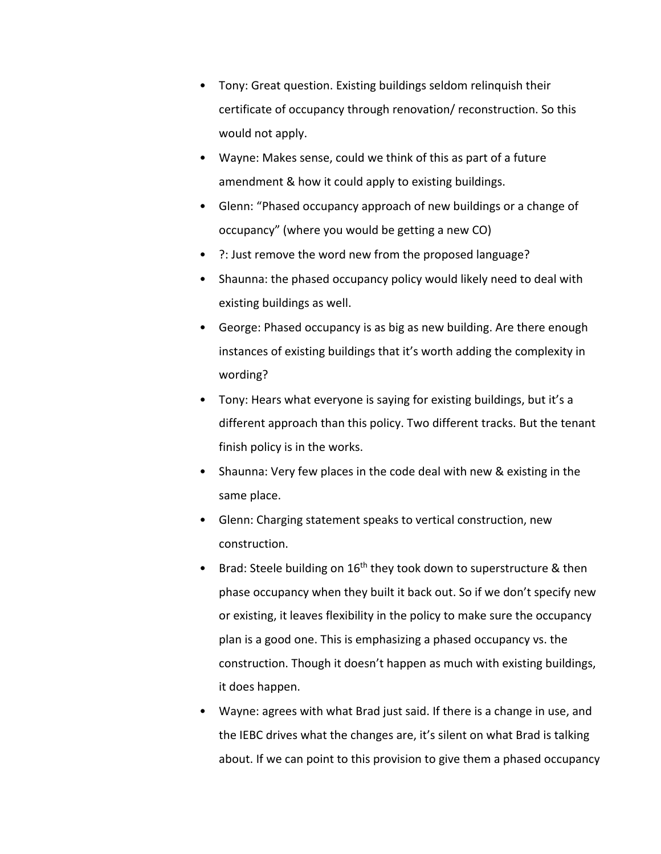- Tony: Great question. Existing buildings seldom relinquish their certificate of occupancy through renovation/ reconstruction. So this would not apply.
- Wayne: Makes sense, could we think of this as part of a future amendment & how it could apply to existing buildings.
- Glenn: "Phased occupancy approach of new buildings or a change of occupancy" (where you would be getting a new CO)
- ?: Just remove the word new from the proposed language?
- Shaunna: the phased occupancy policy would likely need to deal with existing buildings as well.
- George: Phased occupancy is as big as new building. Are there enough instances of existing buildings that it's worth adding the complexity in wording?
- Tony: Hears what everyone is saying for existing buildings, but it's a different approach than this policy. Two different tracks. But the tenant finish policy is in the works.
- Shaunna: Very few places in the code deal with new & existing in the same place.
- Glenn: Charging statement speaks to vertical construction, new construction.
- Brad: Steele building on  $16<sup>th</sup>$  they took down to superstructure & then phase occupancy when they built it back out. So if we don't specify new or existing, it leaves flexibility in the policy to make sure the occupancy plan is a good one. This is emphasizing a phased occupancy vs. the construction. Though it doesn't happen as much with existing buildings, it does happen.
- Wayne: agrees with what Brad just said. If there is a change in use, and the IEBC drives what the changes are, it's silent on what Brad is talking about. If we can point to this provision to give them a phased occupancy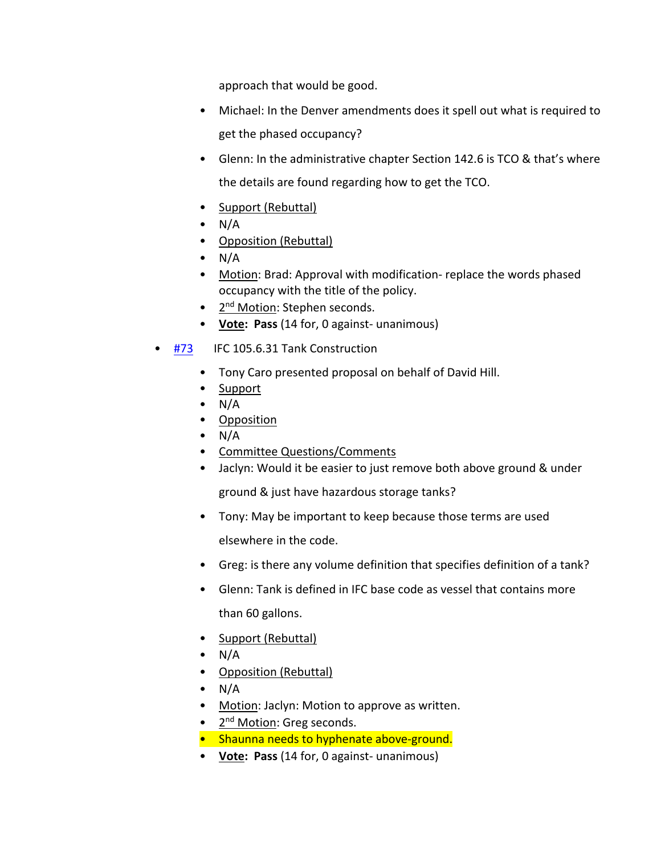approach that would be good.

- Michael: In the Denver amendments does it spell out what is required to get the phased occupancy?
- Glenn: In the administrative chapter Section 142.6 is TCO & that's where the details are found regarding how to get the TCO.
- Support (Rebuttal)
- $\bullet$  N/A
- Opposition (Rebuttal)
- $\bullet$  N/A
- Motion: Brad: Approval with modification- replace the words phased occupancy with the title of the policy.
- 2<sup>nd</sup> Motion: Stephen seconds.
- **Vote: Pass** (14 for, 0 against- unanimous)
- [#73](https://www.denvergov.org/files/assets/public/community-planning-and-development/documents/ds/building-codes/code-adoption/amendment-proposals/ifc/ifc_105.6.31.pdf) IFC 105.6.31 Tank Construction
	- Tony Caro presented proposal on behalf of David Hill.
	- Support
	- $\bullet$  N/A
	- Opposition
	- $\bullet$  N/A
	- Committee Questions/Comments
	- Jaclyn: Would it be easier to just remove both above ground & under

ground & just have hazardous storage tanks?

- Tony: May be important to keep because those terms are used elsewhere in the code.
- Greg: is there any volume definition that specifies definition of a tank?
- Glenn: Tank is defined in IFC base code as vessel that contains more than 60 gallons.
- Support (Rebuttal)
- $\bullet$  N/A
- Opposition (Rebuttal)
- $\bullet$  N/A
- Motion: Jaclyn: Motion to approve as written.
- 2<sup>nd</sup> Motion: Greg seconds.
- Shaunna needs to hyphenate above-ground.
- **Vote: Pass** (14 for, 0 against- unanimous)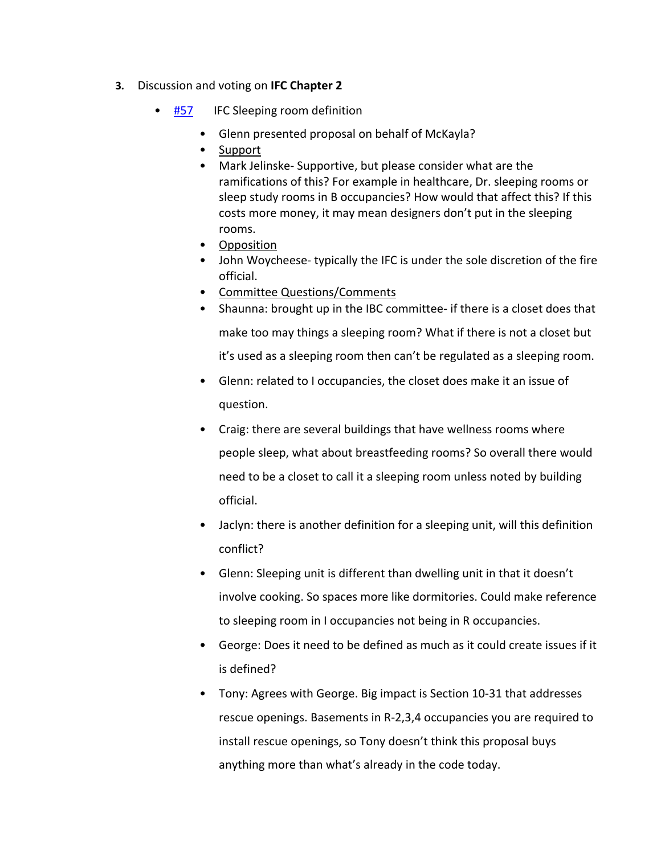- **3.** Discussion and voting on **IFC Chapter 2**
	- **[#57](https://www.denvergov.org/files/assets/public/community-planning-and-development/documents/ds/building-codes/code-adoption/amendment-proposals/ibc/ibc_sleeping_room_definition.pdf)** IFC Sleeping room definition
		- Glenn presented proposal on behalf of McKayla?
		- Support
		- Mark Jelinske- Supportive, but please consider what are the ramifications of this? For example in healthcare, Dr. sleeping rooms or sleep study rooms in B occupancies? How would that affect this? If this costs more money, it may mean designers don't put in the sleeping rooms.
		- Opposition
		- John Woycheese- typically the IFC is under the sole discretion of the fire official.
		- Committee Questions/Comments
		- Shaunna: brought up in the IBC committee- if there is a closet does that make too may things a sleeping room? What if there is not a closet but it's used as a sleeping room then can't be regulated as a sleeping room.
		- Glenn: related to I occupancies, the closet does make it an issue of question.
		- Craig: there are several buildings that have wellness rooms where people sleep, what about breastfeeding rooms? So overall there would need to be a closet to call it a sleeping room unless noted by building official.
		- Jaclyn: there is another definition for a sleeping unit, will this definition conflict?
		- Glenn: Sleeping unit is different than dwelling unit in that it doesn't involve cooking. So spaces more like dormitories. Could make reference to sleeping room in I occupancies not being in R occupancies.
		- George: Does it need to be defined as much as it could create issues if it is defined?
		- Tony: Agrees with George. Big impact is Section 10-31 that addresses rescue openings. Basements in R-2,3,4 occupancies you are required to install rescue openings, so Tony doesn't think this proposal buys anything more than what's already in the code today.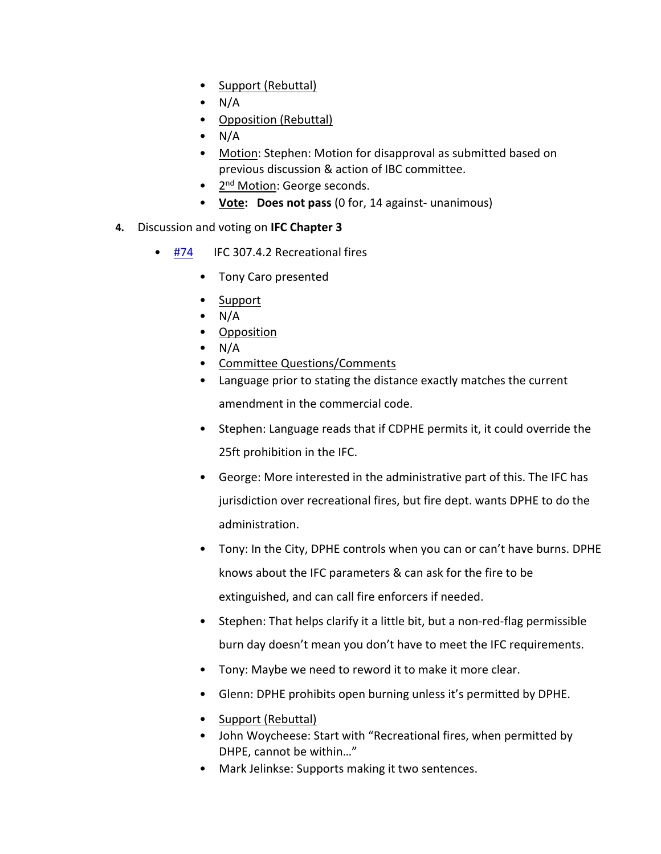- Support (Rebuttal)
- N/A
- Opposition (Rebuttal)
- N/A
- Motion: Stephen: Motion for disapproval as submitted based on previous discussion & action of IBC committee.
- 2<sup>nd</sup> Motion: George seconds.
- **Vote: Does not pass** (0 for, 14 against- unanimous)
- **4.** Discussion and voting on **IFC Chapter 3**
	- [#74](https://www.denvergov.org/files/assets/public/community-planning-and-development/documents/ds/building-codes/code-adoption/amendment-proposals/ifc/ifc_307.4.2.pdf) IFC 307.4.2 Recreational fires
		- Tony Caro presented
		- Support
		- $\bullet$  N/A
		- Opposition
		- $\bullet$  N/A
		- Committee Questions/Comments
		- Language prior to stating the distance exactly matches the current amendment in the commercial code.
		- Stephen: Language reads that if CDPHE permits it, it could override the 25ft prohibition in the IFC.
		- George: More interested in the administrative part of this. The IFC has jurisdiction over recreational fires, but fire dept. wants DPHE to do the administration.
		- Tony: In the City, DPHE controls when you can or can't have burns. DPHE knows about the IFC parameters & can ask for the fire to be extinguished, and can call fire enforcers if needed.
		- Stephen: That helps clarify it a little bit, but a non-red-flag permissible burn day doesn't mean you don't have to meet the IFC requirements.
		- Tony: Maybe we need to reword it to make it more clear.
		- Glenn: DPHE prohibits open burning unless it's permitted by DPHE.
		- Support (Rebuttal)
		- John Woycheese: Start with "Recreational fires, when permitted by DHPE, cannot be within…"
		- Mark Jelinkse: Supports making it two sentences.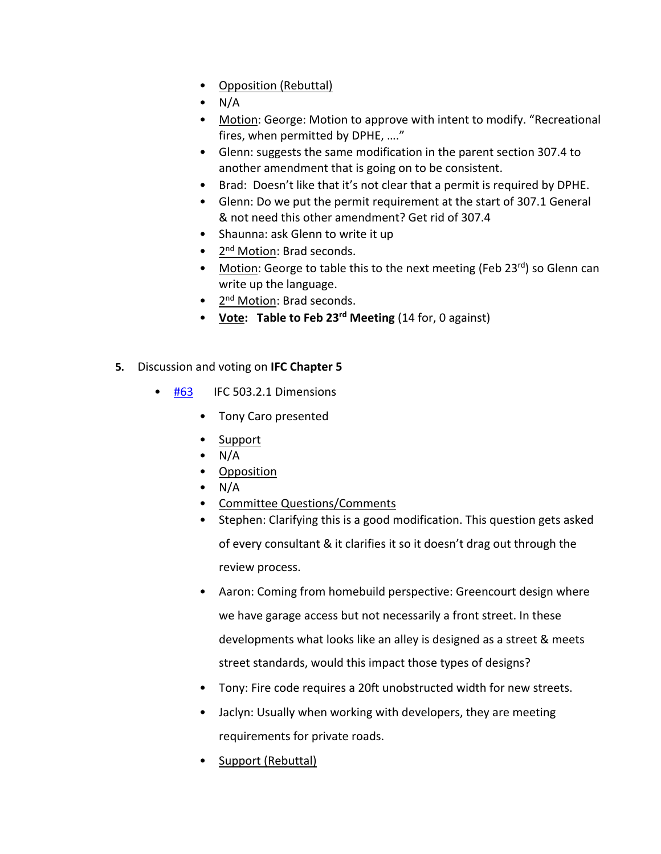- Opposition (Rebuttal)
- N/A
- Motion: George: Motion to approve with intent to modify. "Recreational fires, when permitted by DPHE, …."
- Glenn: suggests the same modification in the parent section 307.4 to another amendment that is going on to be consistent.
- Brad: Doesn't like that it's not clear that a permit is required by DPHE.
- Glenn: Do we put the permit requirement at the start of 307.1 General & not need this other amendment? Get rid of 307.4
- Shaunna: ask Glenn to write it up
- 2<sup>nd</sup> Motion: Brad seconds.
- Motion: George to table this to the next meeting (Feb 23rd) so Glenn can write up the language.
- 2<sup>nd</sup> Motion: Brad seconds.
- **Vote: Table to Feb 23rd Meeting** (14 for, 0 against)
- **5.** Discussion and voting on **IFC Chapter 5**
	- [#63](https://www.denvergov.org/files/assets/public/community-planning-and-development/documents/ds/building-codes/code-adoption/amendment-proposals/ifc/ifc_503.2.1.pdf) IFC 503.2.1 Dimensions
		- Tony Caro presented
		- Support
		- $\bullet$  N/A
		- Opposition
		- $\bullet$  N/A
		- Committee Questions/Comments
		- Stephen: Clarifying this is a good modification. This question gets asked of every consultant & it clarifies it so it doesn't drag out through the review process.
		- Aaron: Coming from homebuild perspective: Greencourt design where we have garage access but not necessarily a front street. In these developments what looks like an alley is designed as a street & meets street standards, would this impact those types of designs?
		- Tony: Fire code requires a 20ft unobstructed width for new streets.
		- Jaclyn: Usually when working with developers, they are meeting requirements for private roads.
		- Support (Rebuttal)